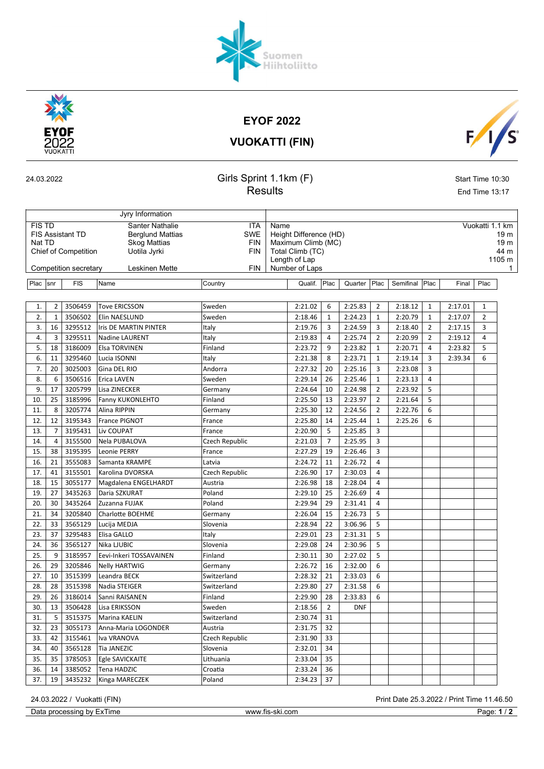## EYOF 2022

VUOKATTI (FIN)

| 24.03.2022 |  |  |
|------------|--|--|
|            |  |  |

Jyry Information

### 24.03.2022 Girls Sprint 1.1km (F) Start Time 10:30 Results End Time 13:17

| <b>FIS TD</b>                                                |    |                             | <b>Santer Nathalie</b>  | <b>ITA</b>                   | Vuokatti 1.1 km<br>Name                |         |                |         |                |                |              |         |                |              |
|--------------------------------------------------------------|----|-----------------------------|-------------------------|------------------------------|----------------------------------------|---------|----------------|---------|----------------|----------------|--------------|---------|----------------|--------------|
| <b>FIS Assistant TD</b><br><b>Berglund Mattias</b><br>Nat TD |    |                             |                         |                              | <b>SWE</b><br>Height Difference (HD)   |         |                |         |                |                |              |         |                | 19 m         |
|                                                              |    | <b>Chief of Competition</b> | <b>Skog Mattias</b>     | <b>FIN</b>                   | Maximum Climb (MC)<br>Total Climb (TC) |         |                |         |                |                |              |         |                | 19 m<br>44 m |
|                                                              |    |                             | Uotila Jyrki            | <b>FIN</b><br>Length of Lap  |                                        |         |                |         |                |                |              |         | 1105 m         |              |
|                                                              |    | Competition secretary       | Leskinen Mette          | Number of Laps<br><b>FIN</b> |                                        |         |                |         |                |                |              |         |                | 1            |
|                                                              |    |                             |                         |                              |                                        |         |                |         |                |                |              |         |                |              |
| Plac  snr                                                    |    | <b>FIS</b>                  | Name                    | Country                      |                                        | Qualif. | Plac           | Quarter | Plac           | Semifinal Plac |              | Final   | Plac           |              |
|                                                              |    |                             |                         |                              |                                        |         |                |         |                |                |              |         |                |              |
| 1.                                                           | 2  | 3506459                     | <b>Tove ERICSSON</b>    | Sweden                       |                                        | 2:21.02 | 6              | 2:25.83 | 2              | 2:18.12        | $\mathbf{1}$ | 2:17.01 | $\mathbf{1}$   |              |
| 2.                                                           | 1  | 3506502                     | Elin NAESLUND           | Sweden                       |                                        | 2:18.46 | 1              | 2:24.23 | $\mathbf{1}$   | 2:20.79        | 1            | 2:17.07 | $\overline{2}$ |              |
| 3.                                                           | 16 | 3295512                     | Iris DE MARTIN PINTER   | Italy                        |                                        | 2:19.76 | 3              | 2:24.59 | 3              | 2:18.40        | 2            | 2:17.15 | 3              |              |
| 4.                                                           | 3  | 3295511                     | <b>Nadine LAURENT</b>   | Italy                        |                                        | 2:19.83 | 4              | 2:25.74 | $\overline{2}$ | 2:20.99        | 2            | 2:19.12 | 4              |              |
| 5.                                                           | 18 | 3186009                     | <b>Elsa TORVINEN</b>    | Finland                      |                                        | 2:23.72 | 9              | 2:23.82 | $\mathbf{1}$   | 2:20.71        | 4            | 2:23.82 | 5              |              |
| 6.                                                           | 11 | 3295460                     | Lucia ISONNI            | Italy                        |                                        | 2:21.38 | 8              | 2:23.71 | $\mathbf{1}$   | 2:19.14        | 3            | 2:39.34 | 6              |              |
| 7.                                                           | 20 | 3025003                     | Gina DEL RIO            | Andorra                      |                                        | 2:27.32 | 20             | 2:25.16 | 3              | 2:23.08        | 3            |         |                |              |
| 8.                                                           | 6  | 3506516                     | <b>Erica LAVEN</b>      | Sweden                       |                                        | 2:29.14 | 26             | 2:25.46 | $\mathbf{1}$   | 2:23.13        | 4            |         |                |              |
| 9.                                                           | 17 | 3205799                     | Lisa ZINECKER           | Germany                      |                                        | 2:24.64 | 10             | 2:24.98 | 2              | 2:23.92        | 5            |         |                |              |
| 10.                                                          | 25 | 3185996                     | Fanny KUKONLEHTO        | Finland                      |                                        | 2:25.50 | 13             | 2:23.97 | $\overline{2}$ | 2:21.64        | 5            |         |                |              |
| 11.                                                          | 8  | 3205774                     | Alina RIPPIN            | Germany                      |                                        | 2:25.30 | 12             | 2:24.56 | $\overline{2}$ | 2:22.76        | 6            |         |                |              |
| 12.                                                          | 12 | 3195343                     | France PIGNOT           | France                       |                                        | 2:25.80 | 14             | 2:25.44 | $\mathbf{1}$   | 2:25.26        | 6            |         |                |              |
| 13.                                                          | 7  | 3195431                     | Liv COUPAT              | France                       |                                        | 2:20.90 | 5              | 2:25.85 | 3              |                |              |         |                |              |
| 14.                                                          | 4  | 3155500                     | Nela PUBALOVA           | Czech Republic               |                                        | 2:21.03 | $\overline{7}$ | 2:25.95 | 3              |                |              |         |                |              |
| 15.                                                          | 38 | 3195395                     | Leonie PERRY            | France                       |                                        | 2:27.29 | 19             | 2:26.46 | 3              |                |              |         |                |              |
| 16.                                                          | 21 | 3555083                     | Samanta KRAMPE          | Latvia                       |                                        | 2:24.72 | 11             | 2:26.72 | 4              |                |              |         |                |              |
| 17.                                                          | 41 | 3155501                     | Karolina DVORSKA        | Czech Republic               |                                        | 2:26.90 | 17             | 2:30.03 | 4              |                |              |         |                |              |
| 18.                                                          | 15 | 3055177                     | Magdalena ENGELHARDT    | Austria                      |                                        | 2:26.98 | 18             | 2:28.04 | 4              |                |              |         |                |              |
| 19.                                                          | 27 | 3435263                     | Daria SZKURAT           | Poland                       |                                        | 2:29.10 | 25             | 2:26.69 | 4              |                |              |         |                |              |
| 20.                                                          | 30 | 3435264                     | Zuzanna FUJAK           | Poland                       |                                        | 2:29.94 | 29             | 2:31.41 | 4              |                |              |         |                |              |
| 21.                                                          | 34 | 3205840                     | Charlotte BOEHME        | Germany                      |                                        | 2:26.04 | 15             | 2:26.73 | 5              |                |              |         |                |              |
| 22.                                                          | 33 | 3565129                     | Lucija MEDJA            | Slovenia                     |                                        | 2:28.94 | 22             | 3:06.96 | 5              |                |              |         |                |              |
| 23.                                                          | 37 | 3295483                     | Elisa GALLO             | Italy                        |                                        | 2:29.01 | 23             | 2:31.31 | 5              |                |              |         |                |              |
| 24.                                                          | 36 | 3565127                     | Nika LJUBIC             | Slovenia                     |                                        | 2:29.08 | 24             | 2:30.96 | 5              |                |              |         |                |              |
| 25.                                                          | 9  | 3185957                     | Eevi-Inkeri TOSSAVAINEN | Finland                      |                                        | 2:30.11 | 30             | 2:27.02 | 5              |                |              |         |                |              |
| 26.                                                          | 29 | 3205846                     | <b>Nelly HARTWIG</b>    | Germany                      |                                        | 2:26.72 | 16             | 2:32.00 | 6              |                |              |         |                |              |
| 27.                                                          | 10 | 3515399                     | Leandra BECK            | Switzerland                  |                                        | 2:28.32 | 21             | 2:33.03 | 6              |                |              |         |                |              |

Data processing by ExTime www.fis-ski.com Page: 1/2

28. 28 3515398 Nadia STEIGER Switzerland 2:29.80 27 2:31.58 6 29. 26 3186014 Sanni RAISANEN Finland 2:29.90 28 2:33.83 6 30. 13 3506428 Lisa ERIKSSON Sweden 2:18.56 2 DNF

31. 5 3515375 Marina KAELIN Switzerland 2:30.74 31 32. 23 3055173 Anna-Maria LOGONDER Austria 2:31.75 32 33. 42 3155461 Iva VRANOVA Czech Republic 2:31.90 33 34. 40 3565128 Tia JANEZIC Slovenia 2:32.01 34 35. 35 3785053 Egle SAVICKAITE Lithuania 2:33.04 35 36. 14 3385052 Tena HADZIC Croatia 2:33.24 36 37. 19 3435232 Kinga MARECZEK Poland 2:34.23 37

24.03.2022 / Vuokatti (FIN) Print Date 25.3.2022 / Print Time 11.46.50